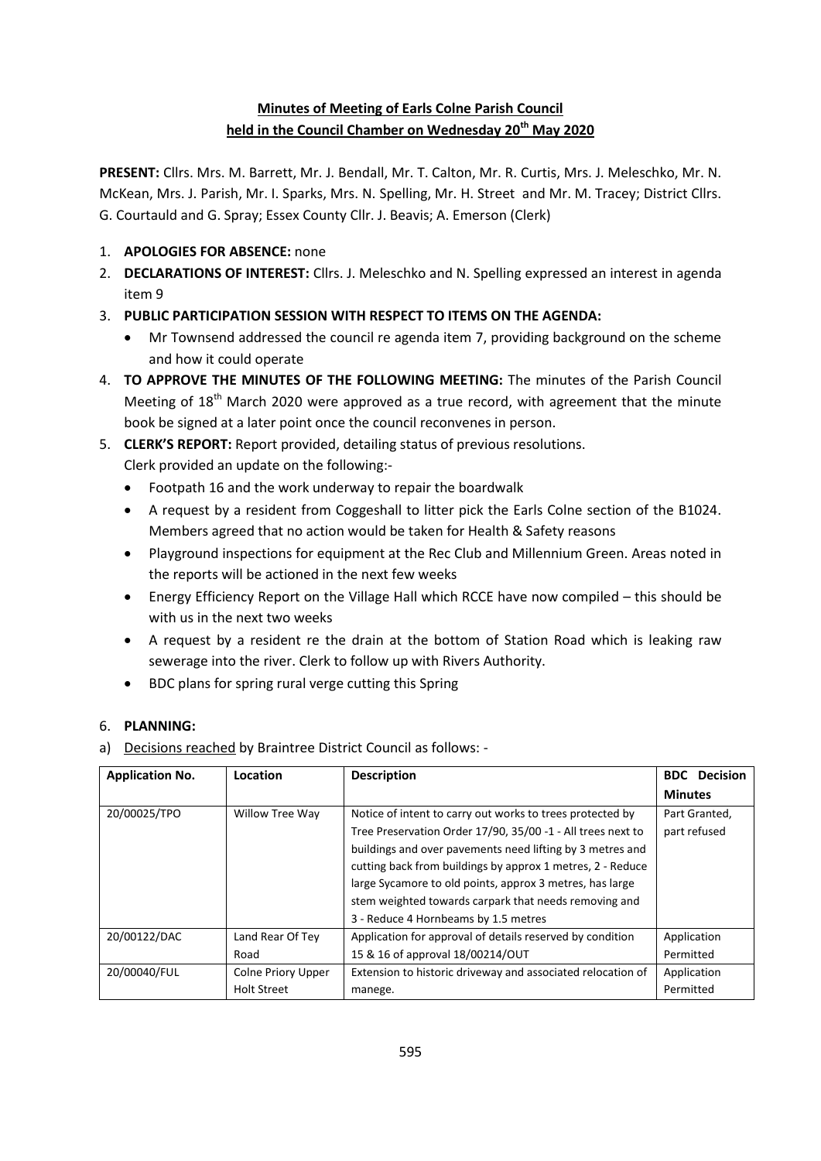# **Minutes of Meeting of Earls Colne Parish Council held in the Council Chamber on Wednesday 20th May 2020**

**PRESENT:** Cllrs. Mrs. M. Barrett, Mr. J. Bendall, Mr. T. Calton, Mr. R. Curtis, Mrs. J. Meleschko, Mr. N. McKean, Mrs. J. Parish, Mr. I. Sparks, Mrs. N. Spelling, Mr. H. Street and Mr. M. Tracey; District Cllrs. G. Courtauld and G. Spray; Essex County Cllr. J. Beavis; A. Emerson (Clerk)

- 1. **APOLOGIES FOR ABSENCE:** none
- 2. **DECLARATIONS OF INTEREST:** Cllrs. J. Meleschko and N. Spelling expressed an interest in agenda item 9
- 3. **PUBLIC PARTICIPATION SESSION WITH RESPECT TO ITEMS ON THE AGENDA:**
	- Mr Townsend addressed the council re agenda item 7, providing background on the scheme and how it could operate
- 4. **TO APPROVE THE MINUTES OF THE FOLLOWING MEETING:** The minutes of the Parish Council Meeting of 18<sup>th</sup> March 2020 were approved as a true record, with agreement that the minute book be signed at a later point once the council reconvenes in person.
- 5. **CLERK'S REPORT:** Report provided, detailing status of previous resolutions. Clerk provided an update on the following:-
	- Footpath 16 and the work underway to repair the boardwalk
	- A request by a resident from Coggeshall to litter pick the Earls Colne section of the B1024. Members agreed that no action would be taken for Health & Safety reasons
	- Playground inspections for equipment at the Rec Club and Millennium Green. Areas noted in the reports will be actioned in the next few weeks
	- Energy Efficiency Report on the Village Hall which RCCE have now compiled this should be with us in the next two weeks
	- A request by a resident re the drain at the bottom of Station Road which is leaking raw sewerage into the river. Clerk to follow up with Rivers Authority.
	- BDC plans for spring rural verge cutting this Spring

## 6. **PLANNING:**

a) Decisions reached by Braintree District Council as follows: -

| <b>Application No.</b> | Location                  | <b>Description</b>                                          | <b>Decision</b><br><b>BDC</b> |
|------------------------|---------------------------|-------------------------------------------------------------|-------------------------------|
|                        |                           |                                                             | <b>Minutes</b>                |
| 20/00025/TPO           | Willow Tree Way           | Notice of intent to carry out works to trees protected by   | Part Granted,                 |
|                        |                           | Tree Preservation Order 17/90, 35/00 -1 - All trees next to | part refused                  |
|                        |                           | buildings and over pavements need lifting by 3 metres and   |                               |
|                        |                           | cutting back from buildings by approx 1 metres, 2 - Reduce  |                               |
|                        |                           | large Sycamore to old points, approx 3 metres, has large    |                               |
|                        |                           | stem weighted towards carpark that needs removing and       |                               |
|                        |                           | 3 - Reduce 4 Hornbeams by 1.5 metres                        |                               |
| 20/00122/DAC           | Land Rear Of Tey          | Application for approval of details reserved by condition   | Application                   |
|                        | Road                      | 15 & 16 of approval 18/00214/OUT                            | Permitted                     |
| 20/00040/FUL           | <b>Colne Priory Upper</b> | Extension to historic driveway and associated relocation of | Application                   |
|                        | <b>Holt Street</b>        | manege.                                                     | Permitted                     |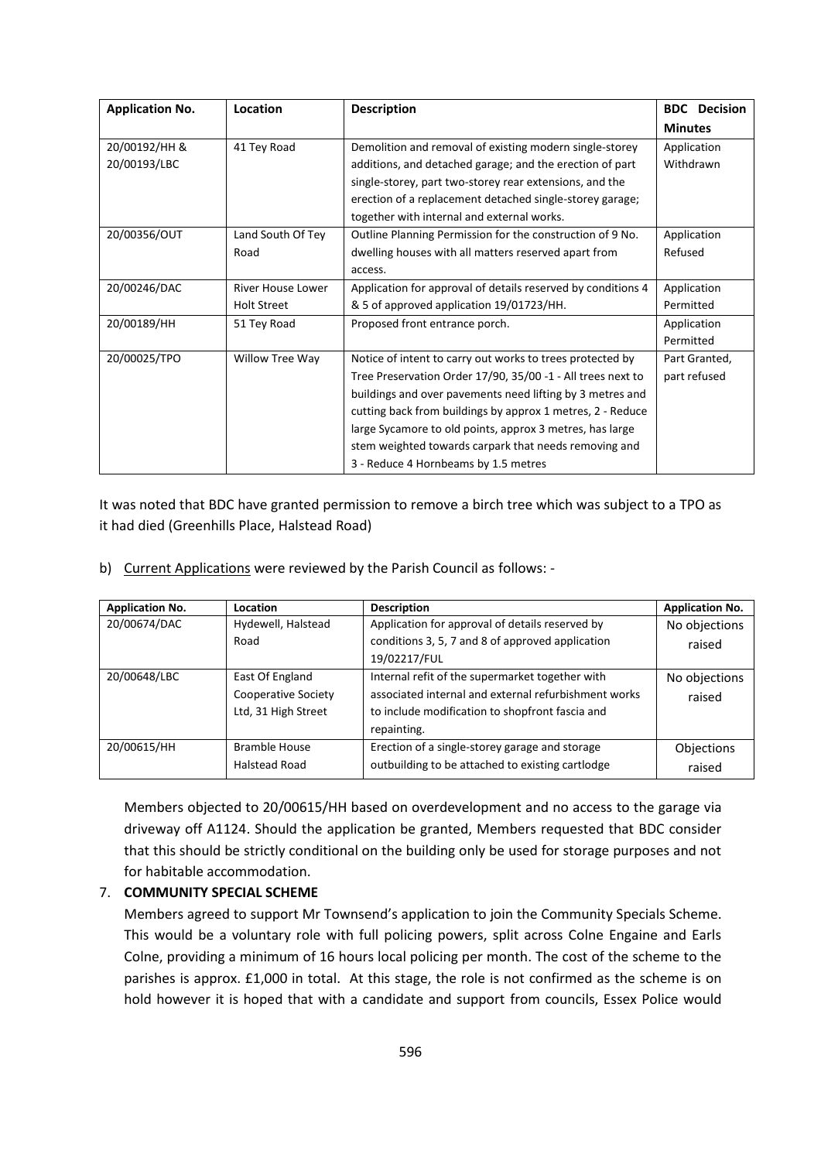| <b>Application No.</b> | Location                 | <b>Description</b>                                           | <b>BDC</b> Decision |
|------------------------|--------------------------|--------------------------------------------------------------|---------------------|
|                        |                          |                                                              | <b>Minutes</b>      |
| 20/00192/HH &          | 41 Tey Road              | Demolition and removal of existing modern single-storey      | Application         |
| 20/00193/LBC           |                          | additions, and detached garage; and the erection of part     | Withdrawn           |
|                        |                          | single-storey, part two-storey rear extensions, and the      |                     |
|                        |                          | erection of a replacement detached single-storey garage;     |                     |
|                        |                          | together with internal and external works.                   |                     |
| 20/00356/OUT           | Land South Of Tey        | Outline Planning Permission for the construction of 9 No.    | Application         |
|                        | Road                     | dwelling houses with all matters reserved apart from         | Refused             |
|                        |                          | access.                                                      |                     |
| 20/00246/DAC           | <b>River House Lower</b> | Application for approval of details reserved by conditions 4 | Application         |
|                        | <b>Holt Street</b>       | & 5 of approved application 19/01723/HH.                     | Permitted           |
| 20/00189/HH            | 51 Tey Road              | Proposed front entrance porch.                               | Application         |
|                        |                          |                                                              | Permitted           |
| 20/00025/TPO           | Willow Tree Way          | Notice of intent to carry out works to trees protected by    | Part Granted,       |
|                        |                          | Tree Preservation Order 17/90, 35/00 -1 - All trees next to  | part refused        |
|                        |                          | buildings and over pavements need lifting by 3 metres and    |                     |
|                        |                          | cutting back from buildings by approx 1 metres, 2 - Reduce   |                     |
|                        |                          | large Sycamore to old points, approx 3 metres, has large     |                     |
|                        |                          | stem weighted towards carpark that needs removing and        |                     |
|                        |                          | 3 - Reduce 4 Hornbeams by 1.5 metres                         |                     |

It was noted that BDC have granted permission to remove a birch tree which was subject to a TPO as it had died (Greenhills Place, Halstead Road)

b) Current Applications were reviewed by the Parish Council as follows: -

| <b>Application No.</b> | Location                   | <b>Description</b>                                   | <b>Application No.</b> |
|------------------------|----------------------------|------------------------------------------------------|------------------------|
| 20/00674/DAC           | Hydewell, Halstead         | Application for approval of details reserved by      | No objections          |
|                        | Road                       | conditions 3, 5, 7 and 8 of approved application     | raised                 |
|                        |                            | 19/02217/FUL                                         |                        |
| 20/00648/LBC           | East Of England            | Internal refit of the supermarket together with      | No objections          |
|                        | <b>Cooperative Society</b> | associated internal and external refurbishment works | raised                 |
|                        | Ltd, 31 High Street        | to include modification to shopfront fascia and      |                        |
|                        |                            | repainting.                                          |                        |
| 20/00615/HH            | Bramble House              | Erection of a single-storey garage and storage       | Objections             |
|                        | Halstead Road              | outbuilding to be attached to existing cartlodge     | raised                 |

Members objected to 20/00615/HH based on overdevelopment and no access to the garage via driveway off A1124. Should the application be granted, Members requested that BDC consider that this should be strictly conditional on the building only be used for storage purposes and not for habitable accommodation.

### 7. **COMMUNITY SPECIAL SCHEME**

Members agreed to support Mr Townsend's application to join the Community Specials Scheme. This would be a voluntary role with full policing powers, split across Colne Engaine and Earls Colne, providing a minimum of 16 hours local policing per month. The cost of the scheme to the parishes is approx. £1,000 in total. At this stage, the role is not confirmed as the scheme is on hold however it is hoped that with a candidate and support from councils, Essex Police would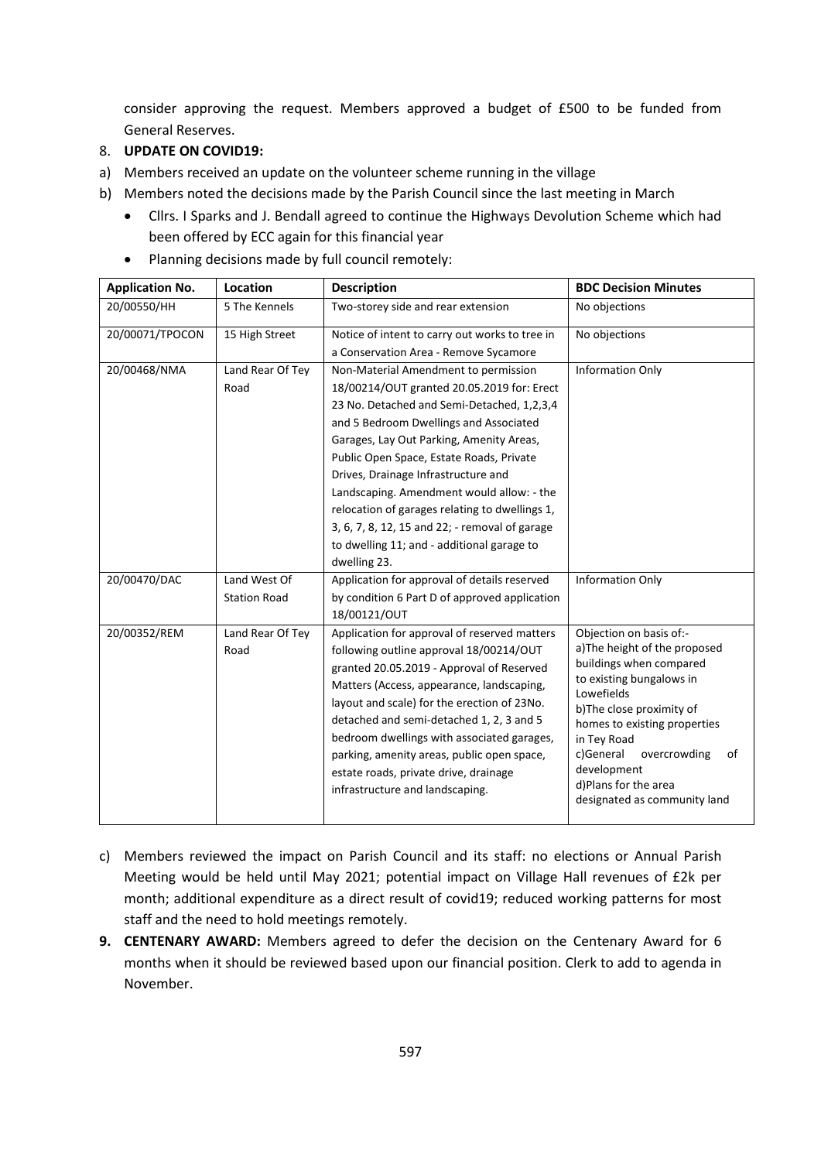consider approving the request. Members approved a budget of £500 to be funded from General Reserves.

#### 8. **UPDATE ON COVID19:**

- a) Members received an update on the volunteer scheme running in the village
- b) Members noted the decisions made by the Parish Council since the last meeting in March
	- Cllrs. I Sparks and J. Bendall agreed to continue the Highways Devolution Scheme which had been offered by ECC again for this financial year
- **Application No. Location Description BDC Decision Minutes** 20/00550/HH 5 The Kennels Two-storey side and rear extension No objections 20/00071/TPOCON 15 High Street Notice of intent to carry out works to tree in a Conservation Area - Remove Sycamore No objections 20/00468/NMA Land Rear Of Tey Road Non-Material Amendment to permission 18/00214/OUT granted 20.05.2019 for: Erect 23 No. Detached and Semi-Detached, 1,2,3,4 and 5 Bedroom Dwellings and Associated Garages, Lay Out Parking, Amenity Areas, Public Open Space, Estate Roads, Private Drives, Drainage Infrastructure and Landscaping. Amendment would allow: - the relocation of garages relating to dwellings 1, 3, 6, 7, 8, 12, 15 and 22; - removal of garage to dwelling 11; and - additional garage to dwelling 23. Information Only 20/00470/DAC Land West Of Station Road Application for approval of details reserved by condition 6 Part D of approved application 18/00121/OUT Information Only 20/00352/REM Land Rear Of Tey Road Application for approval of reserved matters following outline approval 18/00214/OUT granted 20.05.2019 - Approval of Reserved Matters (Access, appearance, landscaping, layout and scale) for the erection of 23No. detached and semi-detached 1, 2, 3 and 5 bedroom dwellings with associated garages, parking, amenity areas, public open space, estate roads, private drive, drainage infrastructure and landscaping. Objection on basis of: a)The height of the proposed buildings when compared to existing bungalows in **Lowefields** b)The close proximity of homes to existing properties in Tey Road c)General overcrowding of development d)Plans for the area designated as community land
- Planning decisions made by full council remotely:

- c) Members reviewed the impact on Parish Council and its staff: no elections or Annual Parish Meeting would be held until May 2021; potential impact on Village Hall revenues of £2k per month; additional expenditure as a direct result of covid19; reduced working patterns for most staff and the need to hold meetings remotely.
- **9. CENTENARY AWARD:** Members agreed to defer the decision on the Centenary Award for 6 months when it should be reviewed based upon our financial position. Clerk to add to agenda in November.